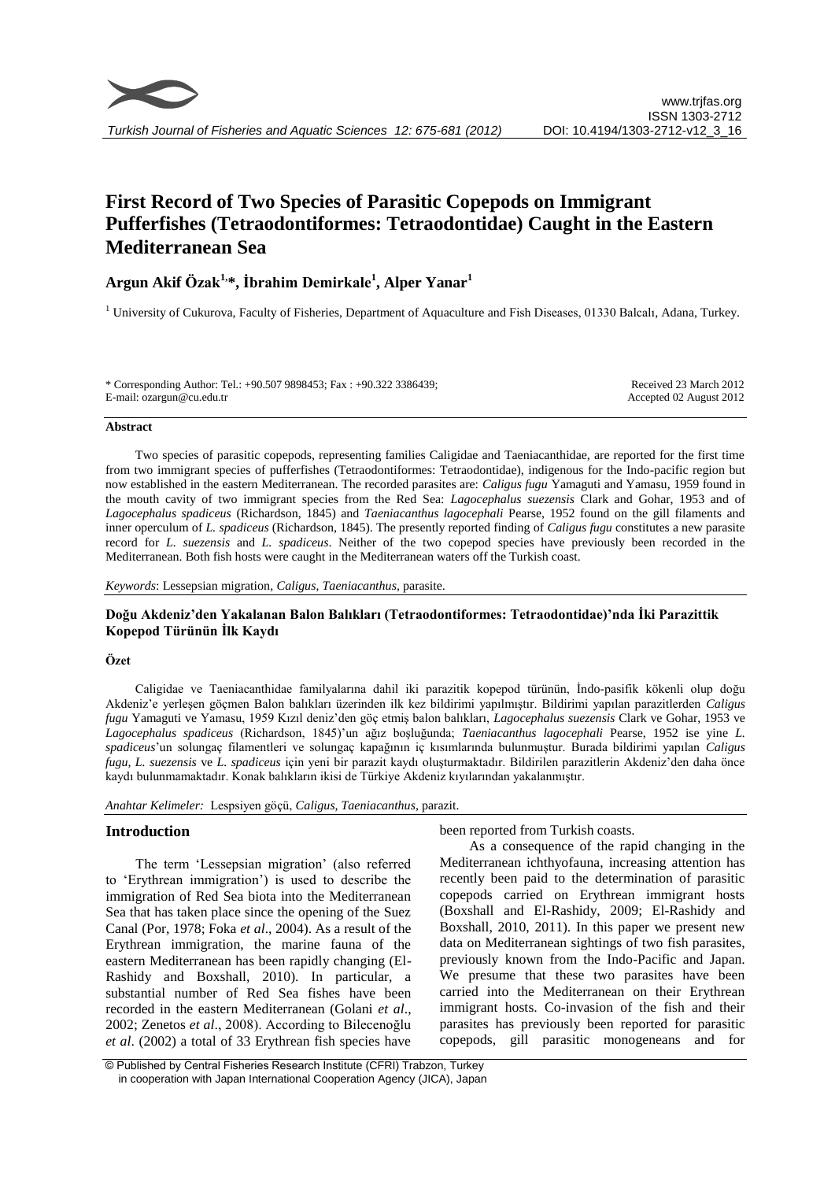

# **First Record of Two Species of Parasitic Copepods on Immigrant Pufferfishes (Tetraodontiformes: Tetraodontidae) Caught in the Eastern Mediterranean Sea**

## **Argun Akif Özak1,\*, İbrahim Demirkale<sup>1</sup> , Alper Yanar<sup>1</sup>**

<sup>1</sup> University of Cukurova, Faculty of Fisheries, Department of Aquaculture and Fish Diseases, 01330 Balcalı, Adana, Turkey.

\* Corresponding Author: Tel.: +90.507 9898453; Fax : +90.322 3386439; E-mail: ozargun@cu.edu.tr

Received 23 March 2012 Accepted 02 August 2012

#### **Abstract**

Two species of parasitic copepods, representing families Caligidae and Taeniacanthidae, are reported for the first time from two immigrant species of pufferfishes (Tetraodontiformes: Tetraodontidae), indigenous for the Indo-pacific region but now established in the eastern Mediterranean. The recorded parasites are: *Caligus fugu* Yamaguti and Yamasu, 1959 found in the mouth cavity of two immigrant species from the Red Sea: *Lagocephalus suezensis* Clark and Gohar, 1953 and of *Lagocephalus spadiceus* (Richardson, 1845) and *Taeniacanthus lagocephali* Pearse, 1952 found on the gill filaments and inner operculum of *L. spadiceus* (Richardson, 1845). The presently reported finding of *Caligus fugu* constitutes a new parasite record for *L. suezensis* and *L. spadiceus*. Neither of the two copepod species have previously been recorded in the Mediterranean. Both fish hosts were caught in the Mediterranean waters off the Turkish coast.

*Keywords*: Lessepsian migration, *Caligus*, *Taeniacanthus*, parasite.

## **Doğu Akdeniz'den Yakalanan Balon Balıkları (Tetraodontiformes: Tetraodontidae)'nda İki Parazittik Kopepod Türünün İlk Kaydı**

## **Özet**

Caligidae ve Taeniacanthidae familyalarına dahil iki parazitik kopepod türünün, İndo-pasifik kökenli olup doğu Akdeniz'e yerleşen göçmen Balon balıkları üzerinden ilk kez bildirimi yapılmıştır. Bildirimi yapılan parazitlerden *Caligus fugu* Yamaguti ve Yamasu, 1959 Kızıl deniz'den göç etmiş balon balıkları, *Lagocephalus suezensis* Clark ve Gohar, 1953 ve *Lagocephalus spadiceus* (Richardson, 1845)'un ağız boşluğunda; *Taeniacanthus lagocephali* Pearse, 1952 ise yine *L. spadiceus*'un solungaç filamentleri ve solungaç kapağının iç kısımlarında bulunmuştur. Burada bildirimi yapılan *Caligus fugu, L. suezensis* ve *L. spadiceus* için yeni bir parazit kaydı oluşturmaktadır. Bildirilen parazitlerin Akdeniz'den daha önce kaydı bulunmamaktadır. Konak balıkların ikisi de Türkiye Akdeniz kıyılarından yakalanmıştır.

*Anahtar Kelimeler:* Lespsiyen göçü, *Caligus, Taeniacanthus*, parazit.

## **Introduction**

The term 'Lessepsian migration' (also referred to 'Erythrean immigration') is used to describe the immigration of Red Sea biota into the Mediterranean Sea that has taken place since the opening of the Suez Canal (Por, 1978; Foka *et al*., 2004). As a result of the Erythrean immigration, the marine fauna of the eastern Mediterranean has been rapidly changing (El-Rashidy and Boxshall, 2010). In particular, a substantial number of Red Sea fishes have been recorded in the eastern Mediterranean (Golani *et al*., 2002; Zenetos *et al*., 2008). According to Bilecenoğlu *et al*. (2002) a total of 33 Erythrean fish species have been reported from Turkish coasts.

As a consequence of the rapid changing in the Mediterranean ichthyofauna, increasing attention has recently been paid to the determination of parasitic copepods carried on Erythrean immigrant hosts (Boxshall and El-Rashidy, 2009; El-Rashidy and Boxshall, 2010, 2011). In this paper we present new data on Mediterranean sightings of two fish parasites, previously known from the Indo-Pacific and Japan. We presume that these two parasites have been carried into the Mediterranean on their Erythrean immigrant hosts. Co-invasion of the fish and their parasites has previously been reported for parasitic copepods, gill parasitic monogeneans and for

<sup>©</sup> Published by Central Fisheries Research Institute (CFRI) Trabzon, Turkey in cooperation with Japan International Cooperation Agency (JICA), Japan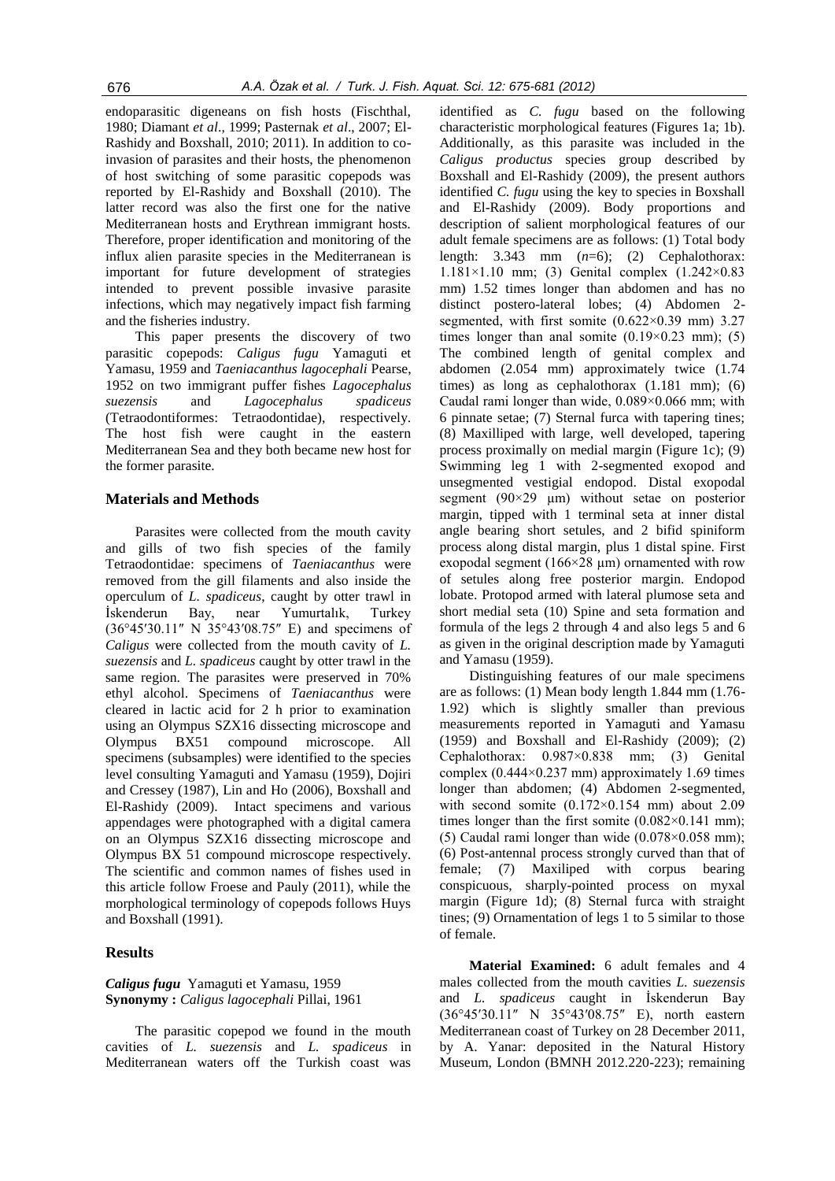endoparasitic digeneans on fish hosts (Fischthal, 1980; Diamant *et al*., 1999; Pasternak *et al*., 2007; El-Rashidy and Boxshall, 2010; 2011). In addition to coinvasion of parasites and their hosts, the phenomenon of host switching of some parasitic copepods was reported by El-Rashidy and Boxshall (2010). The latter record was also the first one for the native Mediterranean hosts and Erythrean immigrant hosts. Therefore, proper identification and monitoring of the influx alien parasite species in the Mediterranean is important for future development of strategies intended to prevent possible invasive parasite infections, which may negatively impact fish farming and the fisheries industry.

This paper presents the discovery of two parasitic copepods: *Caligus fugu* Yamaguti et Yamasu, 1959 and *Taeniacanthus lagocephali* Pearse, 1952 on two immigrant puffer fishes *Lagocephalus suezensis* and *Lagocephalus spadiceus* (Tetraodontiformes: Tetraodontidae), respectively. The host fish were caught in the eastern Mediterranean Sea and they both became new host for the former parasite.

## **Materials and Methods**

Parasites were collected from the mouth cavity and gills of two fish species of the family Tetraodontidae: specimens of *Taeniacanthus* were removed from the gill filaments and also inside the operculum of *L. spadiceus*, caught by otter trawl in İskenderun Bay, near Yumurtalık, Turkey (36°45′30.11″ N 35°43′08.75″ E) and specimens of *Caligus* were collected from the mouth cavity of *L. suezensis* and *L. spadiceus* caught by otter trawl in the same region. The parasites were preserved in 70% ethyl alcohol. Specimens of *Taeniacanthus* were cleared in lactic acid for 2 h prior to examination using an Olympus SZX16 dissecting microscope and Olympus BX51 compound microscope. All specimens (subsamples) were identified to the species level consulting Yamaguti and Yamasu (1959), Dojiri and Cressey (1987), Lin and Ho (2006), Boxshall and El-Rashidy (2009). Intact specimens and various appendages were photographed with a digital camera on an Olympus SZX16 dissecting microscope and Olympus BX 51 compound microscope respectively. The scientific and common names of fishes used in this article follow Froese and Pauly (2011), while the morphological terminology of copepods follows Huys and Boxshall (1991).

## **Results**

*Caligus fugu* Yamaguti et Yamasu, 1959 **Synonymy :** *Caligus lagocephali* Pillai, 1961

The parasitic copepod we found in the mouth cavities of *L. suezensis* and *L. spadiceus* in Mediterranean waters off the Turkish coast was

identified as *C. fugu* based on the following characteristic morphological features (Figures 1a; 1b). Additionally, as this parasite was included in the *Caligus productus* species group described by Boxshall and El-Rashidy (2009), the present authors identified *C. fugu* using the key to species in Boxshall and El-Rashidy (2009). Body proportions and description of salient morphological features of our adult female specimens are as follows: (1) Total body length: 3.343 mm (*n*=6); (2) Cephalothorax: 1.181×1.10 mm; (3) Genital complex (1.242×0.83 mm) 1.52 times longer than abdomen and has no distinct postero-lateral lobes; (4) Abdomen 2 segmented, with first somite (0.622×0.39 mm) 3.27 times longer than anal somite  $(0.19 \times 0.23 \text{ mm})$ ; (5) The combined length of genital complex and abdomen (2.054 mm) approximately twice (1.74 times) as long as cephalothorax (1.181 mm); (6) Caudal rami longer than wide, 0.089×0.066 mm; with 6 pinnate setae; (7) Sternal furca with tapering tines; (8) Maxilliped with large, well developed, tapering process proximally on medial margin (Figure 1c); (9) Swimming leg 1 with 2-segmented exopod and unsegmented vestigial endopod. Distal exopodal segment (90×29 µm) without setae on posterior margin, tipped with 1 terminal seta at inner distal angle bearing short setules, and 2 bifid spiniform process along distal margin, plus 1 distal spine. First exopodal segment  $(166\times28 \text{ nm})$  ornamented with row of setules along free posterior margin. Endopod lobate. Protopod armed with lateral plumose seta and short medial seta (10) Spine and seta formation and formula of the legs 2 through 4 and also legs 5 and 6 as given in the original description made by Yamaguti and Yamasu (1959).

Distinguishing features of our male specimens are as follows: (1) Mean body length 1.844 mm (1.76- 1.92) which is slightly smaller than previous measurements reported in Yamaguti and Yamasu (1959) and Boxshall and El-Rashidy (2009); (2) Cephalothorax: 0.987×0.838 mm; (3) Genital complex  $(0.444 \times 0.237 \text{ mm})$  approximately 1.69 times longer than abdomen; (4) Abdomen 2-segmented, with second somite (0.172×0.154 mm) about 2.09 times longer than the first somite  $(0.082\times0.141$  mm); (5) Caudal rami longer than wide  $(0.078 \times 0.058$  mm); (6) Post-antennal process strongly curved than that of female; (7) Maxiliped with corpus bearing conspicuous, sharply-pointed process on myxal margin (Figure 1d); (8) Sternal furca with straight tines; (9) Ornamentation of legs 1 to 5 similar to those of female.

**Material Examined:** 6 adult females and 4 males collected from the mouth cavities *L. suezensis* and *L. spadiceus* caught in İskenderun Bay (36°45′30.11″ N 35°43′08.75″ E), north eastern Mediterranean coast of Turkey on 28 December 2011, by A. Yanar: deposited in the Natural History Museum, London (BMNH 2012.220-223); remaining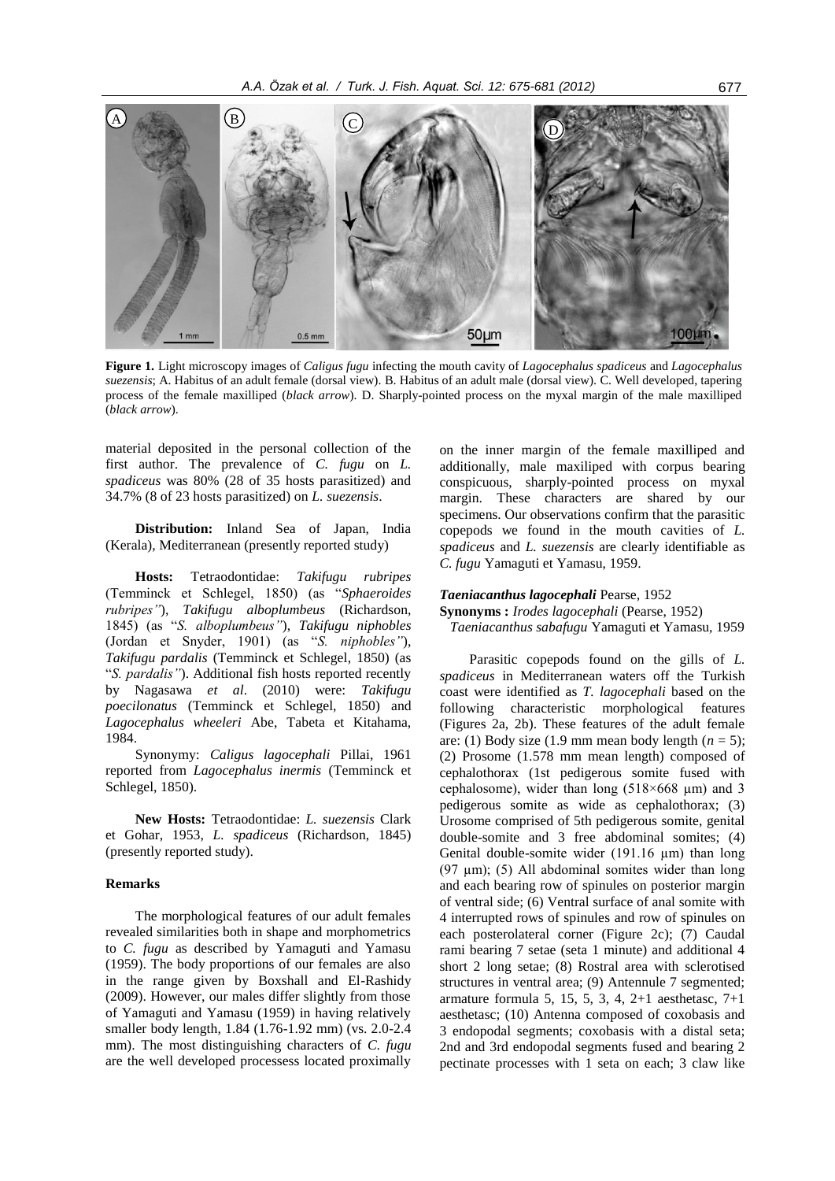

**Figure 1.** Light microscopy images of *Caligus fugu* infecting the mouth cavity of *Lagocephalus spadiceus* and *Lagocephalus suezensis*; A. Habitus of an adult female (dorsal view). B. Habitus of an adult male (dorsal view). C. Well developed, tapering process of the female maxilliped (*black arrow*). D. Sharply-pointed process on the myxal margin of the male maxilliped (*black arrow*).

material deposited in the personal collection of the first author. The prevalence of *C. fugu* on *L. spadiceus* was 80% (28 of 35 hosts parasitized) and 34.7% (8 of 23 hosts parasitized) on *L. suezensis*.

**Distribution:** Inland Sea of Japan, India (Kerala), Mediterranean (presently reported study)

**Hosts:** Tetraodontidae: *Takifugu rubripes*  (Temminck et Schlegel, 1850) (as "*Sphaeroides rubripes"*), *Takifugu alboplumbeus* (Richardson, 1845) (as "*S. alboplumbeus"*), *Takifugu niphobles*  (Jordan et Snyder, 1901) (as "*S. niphobles"*), *Takifugu pardalis* (Temminck et Schlegel, 1850) (as "*S. pardalis"*). Additional fish hosts reported recently by Nagasawa *et al*. (2010) were: *Takifugu poecilonatus* (Temminck et Schlegel, 1850) and *Lagocephalus wheeleri* Abe, Tabeta et Kitahama, 1984.

Synonymy: *Caligus lagocephali* Pillai, 1961 reported from *Lagocephalus inermis* (Temminck et Schlegel, 1850).

**New Hosts:** Tetraodontidae: *L. suezensis* Clark et Gohar, 1953, *L. spadiceus* (Richardson, 1845) (presently reported study).

#### **Remarks**

The morphological features of our adult females revealed similarities both in shape and morphometrics to *C. fugu* as described by Yamaguti and Yamasu (1959). The body proportions of our females are also in the range given by Boxshall and El-Rashidy (2009). However, our males differ slightly from those of Yamaguti and Yamasu (1959) in having relatively smaller body length, 1.84 (1.76-1.92 mm) (vs. 2.0-2.4 mm). The most distinguishing characters of *C. fugu* are the well developed processess located proximally

on the inner margin of the female maxilliped and additionally, male maxiliped with corpus bearing conspicuous, sharply-pointed process on myxal margin. These characters are shared by our specimens. Our observations confirm that the parasitic copepods we found in the mouth cavities of *L. spadiceus* and *L. suezensis* are clearly identifiable as *C. fugu* Yamaguti et Yamasu, 1959.

#### *Taeniacanthus lagocephali* Pearse, 1952

**Synonyms :** *Irodes lagocephali* (Pearse, 1952)

*Taeniacanthus sabafugu* Yamaguti et Yamasu, 1959

Parasitic copepods found on the gills of *L. spadiceus* in Mediterranean waters off the Turkish coast were identified as *T. lagocephali* based on the following characteristic morphological features (Figures 2a, 2b). These features of the adult female are: (1) Body size (1.9 mm mean body length ( $n = 5$ ); (2) Prosome (1.578 mm mean length) composed of cephalothorax (1st pedigerous somite fused with cephalosome), wider than long (518×668 µm) and 3 pedigerous somite as wide as cephalothorax; (3) Urosome comprised of 5th pedigerous somite, genital double-somite and 3 free abdominal somites; (4) Genital double-somite wider (191.16 µm) than long  $(97 \text{ µm})$ ;  $(5)$  All abdominal somites wider than long and each bearing row of spinules on posterior margin of ventral side; (6) Ventral surface of anal somite with 4 interrupted rows of spinules and row of spinules on each posterolateral corner (Figure 2c); (7) Caudal rami bearing 7 setae (seta 1 minute) and additional 4 short 2 long setae; (8) Rostral area with sclerotised structures in ventral area; (9) Antennule 7 segmented; armature formula 5, 15, 5, 3, 4, 2+1 aesthetasc, 7+1 aesthetasc; (10) Antenna composed of coxobasis and 3 endopodal segments; coxobasis with a distal seta; 2nd and 3rd endopodal segments fused and bearing 2 pectinate processes with 1 seta on each; 3 claw like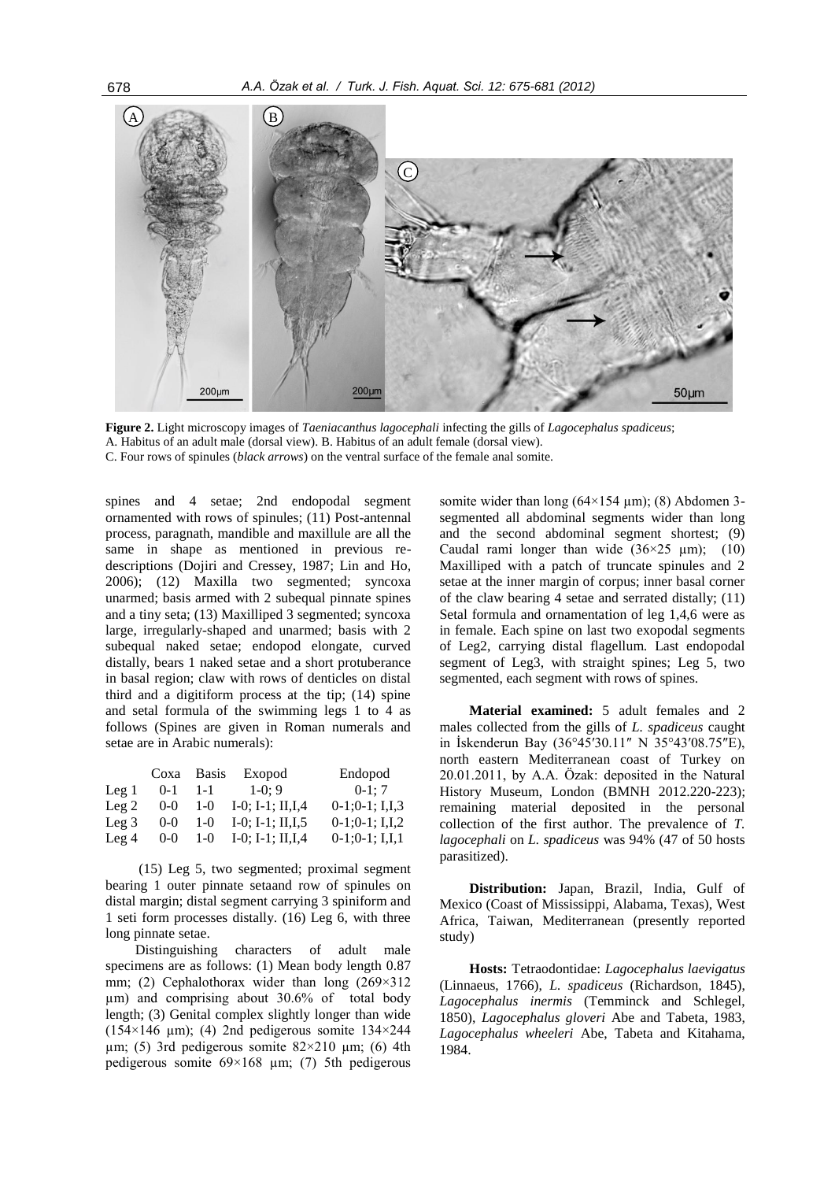

**Figure 2.** Light microscopy images of *Taeniacanthus lagocephali* infecting the gills of *Lagocephalus spadiceus*; A. Habitus of an adult male (dorsal view). B. Habitus of an adult female (dorsal view). C. Four rows of spinules (*black arrows*) on the ventral surface of the female anal somite.

spines and 4 setae; 2nd endopodal segment ornamented with rows of spinules; (11) Post-antennal process, paragnath, mandible and maxillule are all the same in shape as mentioned in previous redescriptions (Dojiri and Cressey, 1987; Lin and Ho, 2006); (12) Maxilla two segmented; syncoxa unarmed; basis armed with 2 subequal pinnate spines and a tiny seta; (13) Maxilliped 3 segmented; syncoxa large, irregularly-shaped and unarmed; basis with 2 subequal naked setae; endopod elongate, curved distally, bears 1 naked setae and a short protuberance in basal region; claw with rows of denticles on distal third and a digitiform process at the tip; (14) spine and setal formula of the swimming legs 1 to 4 as follows (Spines are given in Roman numerals and setae are in Arabic numerals):

|                 | Coxa Basis |         | Exopod                     | Endopod             |
|-----------------|------------|---------|----------------------------|---------------------|
| $\text{Leg } 1$ | $0 - 1$    | $1 - 1$ | $1-0:9$                    | $0-1$ ; 7           |
| $\text{Leg } 2$ | $0-0$      | $1-0$   | $I-0$ ; $I-1$ ; $II,I$ , 4 | $0-1:0-1$ ; I,I,3   |
| $\text{Leg } 3$ | $0 - 0$    | 1-0     | I-0; I-1; II, I, 5         | $0-1; 0-1; I, I, 2$ |
| $\text{Leg } 4$ | $0-0$      | $1-0$   | $I-0$ ; $I-1$ ; $II,I$ , 4 | $0-1; 0-1; I, I, I$ |

(15) Leg 5, two segmented; proximal segment bearing 1 outer pinnate setaand row of spinules on distal margin; distal segment carrying 3 spiniform and 1 seti form processes distally. (16) Leg 6, with three long pinnate setae.

Distinguishing characters of adult male specimens are as follows: (1) Mean body length 0.87 mm; (2) Cephalothorax wider than long (269×312) µm) and comprising about 30.6% of total body length; (3) Genital complex slightly longer than wide ( $154\times146$  µm); (4) 2nd pedigerous somite  $134\times244$  $\mu$ m; (5) 3rd pedigerous somite 82×210  $\mu$ m; (6) 4th pedigerous somite  $69\times168$  µm; (7) 5th pedigerous

somite wider than long  $(64\times154 \mu m)$ ; (8) Abdomen 3segmented all abdominal segments wider than long and the second abdominal segment shortest; (9) Caudal rami longer than wide  $(36\times25 \text{ µm})$ ; (10) Maxilliped with a patch of truncate spinules and 2 setae at the inner margin of corpus; inner basal corner of the claw bearing 4 setae and serrated distally; (11) Setal formula and ornamentation of leg 1,4,6 were as in female. Each spine on last two exopodal segments of Leg2, carrying distal flagellum. Last endopodal segment of Leg3, with straight spines; Leg 5, two segmented, each segment with rows of spines.

**Material examined:** 5 adult females and 2 males collected from the gills of *L. spadiceus* caught in İskenderun Bay (36°45′30.11″ N 35°43′08.75″E), north eastern Mediterranean coast of Turkey on 20.01.2011, by A.A. Özak: deposited in the Natural History Museum, London (BMNH 2012.220-223); remaining material deposited in the personal collection of the first author. The prevalence of *T. lagocephali* on *L. spadiceus* was 94% (47 of 50 hosts parasitized).

**Distribution:** Japan, Brazil, India, Gulf of Mexico (Coast of Mississippi, Alabama, Texas), West Africa, Taiwan, Mediterranean (presently reported study)

**Hosts:** Tetraodontidae: *Lagocephalus laevigatus* (Linnaeus, 1766), *L. spadiceus* (Richardson, 1845), *Lagocephalus inermis* (Temminck and Schlegel, 1850), *Lagocephalus gloveri* Abe and Tabeta, 1983, *Lagocephalus wheeleri* Abe, Tabeta and Kitahama, 1984.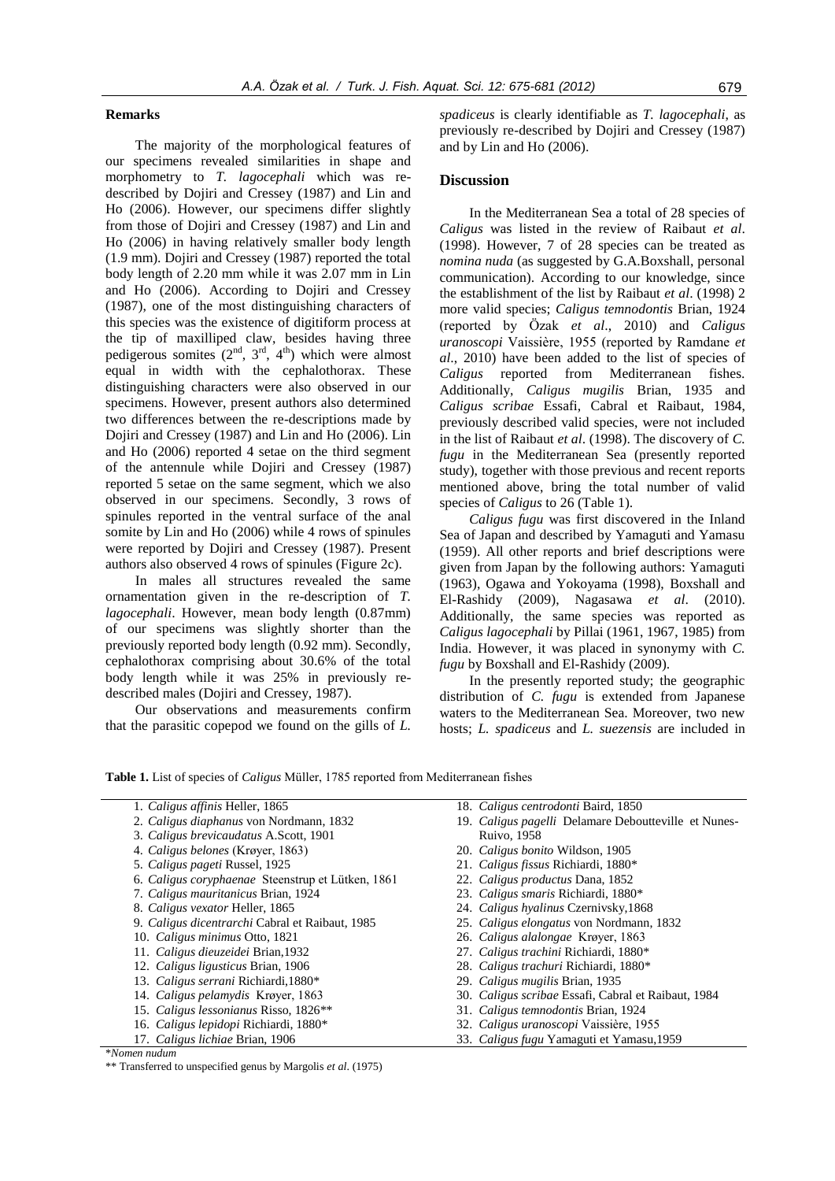## **Remarks**

The majority of the morphological features of our specimens revealed similarities in shape and morphometry to *T. lagocephali* which was redescribed by Dojiri and Cressey (1987) and Lin and Ho (2006). However, our specimens differ slightly from those of Dojiri and Cressey (1987) and Lin and Ho (2006) in having relatively smaller body length (1.9 mm). Dojiri and Cressey (1987) reported the total body length of 2.20 mm while it was 2.07 mm in Lin and Ho (2006). According to Dojiri and Cressey (1987), one of the most distinguishing characters of this species was the existence of digitiform process at the tip of maxilliped claw, besides having three pedigerous somites  $(2^{nd}, 3^{rd}, 4^{th})$  which were almost equal in width with the cephalothorax. These distinguishing characters were also observed in our specimens. However, present authors also determined two differences between the re-descriptions made by Dojiri and Cressey (1987) and Lin and Ho (2006). Lin and Ho (2006) reported 4 setae on the third segment of the antennule while Dojiri and Cressey (1987) reported 5 setae on the same segment, which we also observed in our specimens. Secondly, 3 rows of spinules reported in the ventral surface of the anal somite by Lin and Ho (2006) while 4 rows of spinules were reported by Dojiri and Cressey (1987). Present authors also observed 4 rows of spinules (Figure 2c).

In males all structures revealed the same ornamentation given in the re-description of *T. lagocephali*. However, mean body length (0.87mm) of our specimens was slightly shorter than the previously reported body length (0.92 mm). Secondly, cephalothorax comprising about 30.6% of the total body length while it was 25% in previously redescribed males (Dojiri and Cressey, 1987).

Our observations and measurements confirm that the parasitic copepod we found on the gills of *L.*  *spadiceus* is clearly identifiable as *T. lagocephali*, as previously re-described by Dojiri and Cressey (1987) and by Lin and Ho (2006).

#### **Discussion**

In the Mediterranean Sea a total of 28 species of *Caligus* was listed in the review of Raibaut *et al*. (1998). However, 7 of 28 species can be treated as *nomina nuda* (as suggested by G.A.Boxshall, personal communication). According to our knowledge, since the establishment of the list by Raibaut *et al*. (1998) 2 more valid species; *Caligus temnodontis* Brian, 1924 (reported by Özak *et al*., 2010) and *Caligus uranoscopi* Vaissière, 1955 (reported by Ramdane *et al*., 2010) have been added to the list of species of *Caligus* reported from Mediterranean fishes. Additionally, *Caligus mugilis* Brian, 1935 and *Caligus scribae* Essafi, Cabral et Raibaut, 1984, previously described valid species, were not included in the list of Raibaut *et al*. (1998). The discovery of *C. fugu* in the Mediterranean Sea (presently reported study), together with those previous and recent reports mentioned above, bring the total number of valid species of *Caligus* to 26 (Table 1).

*Caligus fugu* was first discovered in the Inland Sea of Japan and described by Yamaguti and Yamasu (1959). All other reports and brief descriptions were given from Japan by the following authors: Yamaguti (1963), Ogawa and Yokoyama (1998), Boxshall and El-Rashidy (2009), Nagasawa *et al*. (2010). Additionally, the same species was reported as *Caligus lagocephali* by Pillai (1961, 1967, 1985) from India. However, it was placed in synonymy with *C. fugu* by Boxshall and El-Rashidy (2009).

In the presently reported study; the geographic distribution of *C. fugu* is extended from Japanese waters to the Mediterranean Sea. Moreover, two new hosts; *L. spadiceus* and *L. suezensis* are included in

**Table 1.** List of species of *Caligus* Müller, 1785 reported from Mediterranean fishes

- 1. *Caligus affinis* Heller, 1865
- 2. *Caligus diaphanus* von Nordmann, 1832
- 3. *Caligus brevicaudatus* A.Scott, 1901
- 4. *Caligus belones* (Krøyer, 1863)
- 5. *Caligus pageti* Russel, 1925
- 6. *Caligus coryphaenae* Steenstrup et Lütken, 1861
- 7. *Caligus mauritanicus* Brian, 1924
- 8. *Caligus vexator* Heller, 1865
- 9. *Caligus dicentrarchi* Cabral et Raibaut, 1985
- 10. *Caligus minimus* Otto, 1821
- 11. *Caligus dieuzeidei* Brian,1932
- 12. *Caligus ligusticus* Brian, 1906
- 13. *Caligus serrani* Richiardi,1880\*
- 14. *Caligus pelamydis* Krøyer, 1863
- 15. *Caligus lessonianus* Risso, 1826\*\*
- 16. *Caligus lepidopi* Richiardi, 1880\*
- 17. *Caligus lichiae* Brian, 1906
- \**Nomen nudum*
- \*\* Transferred to unspecified genus by Margolis *et al*. (1975)
- 18. *Caligus centrodonti* Baird, 1850
- 19. *Caligus pagelli* Delamare Deboutteville et Nunes-Ruivo, 1958
- 20. *Caligus bonito* Wildson, 1905
- 21. *Caligus fissus* Richiardi, 1880\*
- 22. *Caligus productus* Dana, 1852
- 23. *Caligus smaris* Richiardi, 1880\*
- 24. *Caligus hyalinus* Czernivsky,1868
- 25. *Caligus elongatus* von Nordmann, 1832
- 26. *Caligus alalongae* Krøyer, 1863
- 
- 27. *Caligus trachini* Richiardi, 1880\*
- 28. *Caligus trachuri* Richiardi, 1880\*
- 29. *Caligus mugilis* Brian, 1935
- 30. *Caligus scribae* Essafi, Cabral et Raibaut, 1984
- 31. *Caligus temnodontis* Brian, 1924
- 32. *Caligus uranoscopi* Vaissière, 1955
- 33. *Caligus fugu* Yamaguti et Yamasu,1959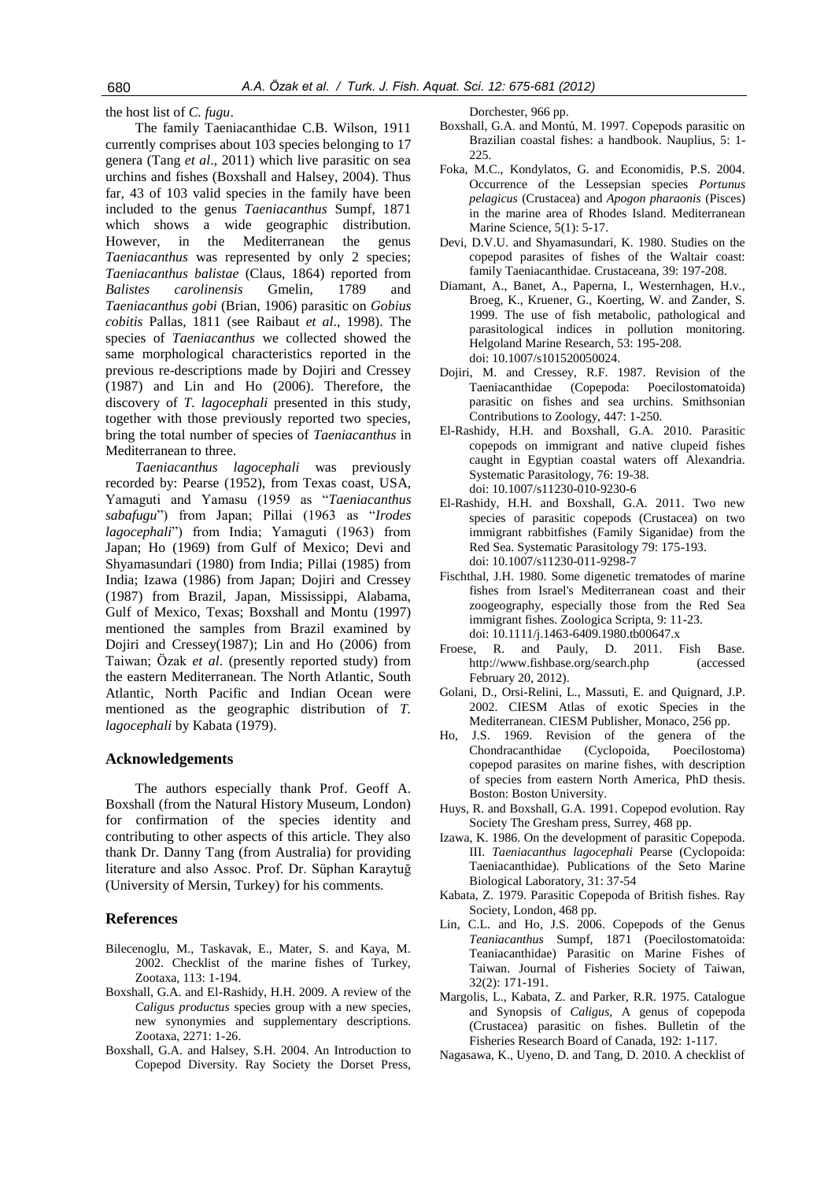the host list of *C. fugu*.

The family Taeniacanthidae C.B. Wilson, 1911 currently comprises about 103 species belonging to 17 genera (Tang *et al*., 2011) which live parasitic on sea urchins and fishes (Boxshall and Halsey, 2004). Thus far, 43 of 103 valid species in the family have been included to the genus *Taeniacanthus* Sumpf, 1871 which shows a wide geographic distribution. However, in the Mediterranean the genus *Taeniacanthus* was represented by only 2 species; *Taeniacanthus balistae* (Claus, 1864) reported from *Balistes carolinensis* Gmelin, 1789 and *Taeniacanthus gobi* (Brian, 1906) parasitic on *Gobius cobitis* Pallas, 1811 (see Raibaut *et al*., 1998). The species of *Taeniacanthus* we collected showed the same morphological characteristics reported in the previous re-descriptions made by Dojiri and Cressey (1987) and Lin and Ho (2006). Therefore, the discovery of *T. lagocephali* presented in this study, together with those previously reported two species, bring the total number of species of *Taeniacanthus* in Mediterranean to three.

*Taeniacanthus lagocephali* was previously recorded by: Pearse (1952), from Texas coast, USA, Yamaguti and Yamasu (1959 as "*Taeniacanthus sabafugu*") from Japan; Pillai (1963 as "*Irodes lagocephali*") from India; Yamaguti (1963) from Japan; Ho (1969) from Gulf of Mexico; Devi and Shyamasundari (1980) from India; Pillai (1985) from India; Izawa (1986) from Japan; Dojiri and Cressey (1987) from Brazil, Japan, Mississippi, Alabama, Gulf of Mexico, Texas; Boxshall and Montu (1997) mentioned the samples from Brazil examined by Dojiri and Cressey(1987); Lin and Ho (2006) from Taiwan; Özak *et al*. (presently reported study) from the eastern Mediterranean. The North Atlantic, South Atlantic, North Pacific and Indian Ocean were mentioned as the geographic distribution of *T. lagocephali* by Kabata (1979).

#### **Acknowledgements**

The authors especially thank Prof. Geoff A. Boxshall (from the Natural History Museum, London) for confirmation of the species identity and contributing to other aspects of this article. They also thank Dr. Danny Tang (from Australia) for providing literature and also Assoc. Prof. Dr. Süphan Karaytuğ (University of Mersin, Turkey) for his comments.

#### **References**

- Bilecenoglu, M., Taskavak, E., Mater, S. and Kaya, M. 2002. Checklist of the marine fishes of Turkey, Zootaxa, 113: 1-194.
- Boxshall, G.A. and El-Rashidy, H.H. 2009. A review of the *Caligus productus* species group with a new species, new synonymies and supplementary descriptions. Zootaxa, 2271: 1-26.
- Boxshall, G.A. and Halsey, S.H. 2004. An Introduction to Copepod Diversity. Ray Society the Dorset Press,

Dorchester, 966 pp.

- Boxshall, G.A. and Montú, M. 1997. Copepods parasitic on Brazilian coastal fishes: a handbook. Nauplius, 5: 1- 225.
- Foka, M.C., Kondylatos, G. and Economidis, P.S. 2004. Occurrence of the Lessepsian species *Portunus pelagicus* (Crustacea) and *Apogon pharaonis* (Pisces) in the marine area of Rhodes Island. Mediterranean Marine Science, 5(1): 5-17.
- Devi, D.V.U. and Shyamasundari, K. 1980. Studies on the copepod parasites of fishes of the Waltair coast: family Taeniacanthidae. Crustaceana, 39: 197-208.
- Diamant, A., Banet, A., Paperna, I., Westernhagen, H.v., Broeg, K., Kruener, G., Koerting, W. and Zander, S. 1999. The use of fish metabolic, pathological and parasitological indices in pollution monitoring. Helgoland Marine Research, 53: 195-208. doi: 10.1007/s101520050024.
- Dojiri, M. and Cressey, R.F. 1987. Revision of the Taeniacanthidae (Copepoda: Poecilostomatoida) parasitic on fishes and sea urchins. Smithsonian Contributions to Zoology, 447: 1-250.
- El-Rashidy, H.H. and Boxshall, G.A. 2010. Parasitic copepods on immigrant and native clupeid fishes caught in Egyptian coastal waters off Alexandria. Systematic Parasitology, 76: 19-38. doi: 10.1007/s11230-010-9230-6
- El-Rashidy, H.H. and Boxshall, G.A. 2011. Two new species of parasitic copepods (Crustacea) on two immigrant rabbitfishes (Family Siganidae) from the Red Sea. Systematic Parasitology 79: 175-193. doi: 10.1007/s11230-011-9298-7
- Fischthal, J.H. 1980. Some digenetic trematodes of marine fishes from Israel's Mediterranean coast and their zoogeography, especially those from the Red Sea immigrant fishes. Zoologica Scripta, 9: 11-23. doi: 10.1111/j.1463-6409.1980.tb00647.x
- Froese, R. and Pauly, D. 2011. Fish Base. http://www.fishbase.org/search.php (accessed February 20, 2012).
- Golani, D., Orsi-Relini, L., Massuti, E. and Quignard, J.P. 2002. CIESM Atlas of exotic Species in the Mediterranean. CIESM Publisher, Monaco, 256 pp.
- Ho, J.S. 1969. Revision of the genera of the Chondracanthidae (Cyclopoida, Poecilostoma) copepod parasites on marine fishes, with description of species from eastern North America, PhD thesis. Boston: Boston University.
- Huys, R. and Boxshall, G.A. 1991. Copepod evolution. Ray Society The Gresham press, Surrey, 468 pp.
- Izawa, K. 1986. On the development of parasitic Copepoda. III. *Taeniacanthus lagocephali* Pearse (Cyclopoida: Taeniacanthidae). Publications of the Seto Marine Biological Laboratory, 31: 37-54
- Kabata, Z. 1979. Parasitic Copepoda of British fishes. Ray Society, London, 468 pp.
- Lin, C.L. and Ho, J.S. 2006. Copepods of the Genus *Teaniacanthus* Sumpf, 1871 (Poecilostomatoida: Teaniacanthidae) Parasitic on Marine Fishes of Taiwan. Journal of Fisheries Society of Taiwan, 32(2): 171-191.
- Margolis, L., Kabata, Z. and Parker, R.R. 1975. Catalogue and Synopsis of *Caligus*, A genus of copepoda (Crustacea) parasitic on fishes. Bulletin of the Fisheries Research Board of Canada, 192: 1-117.
- Nagasawa, K., Uyeno, D. and Tang, D. 2010. A checklist of